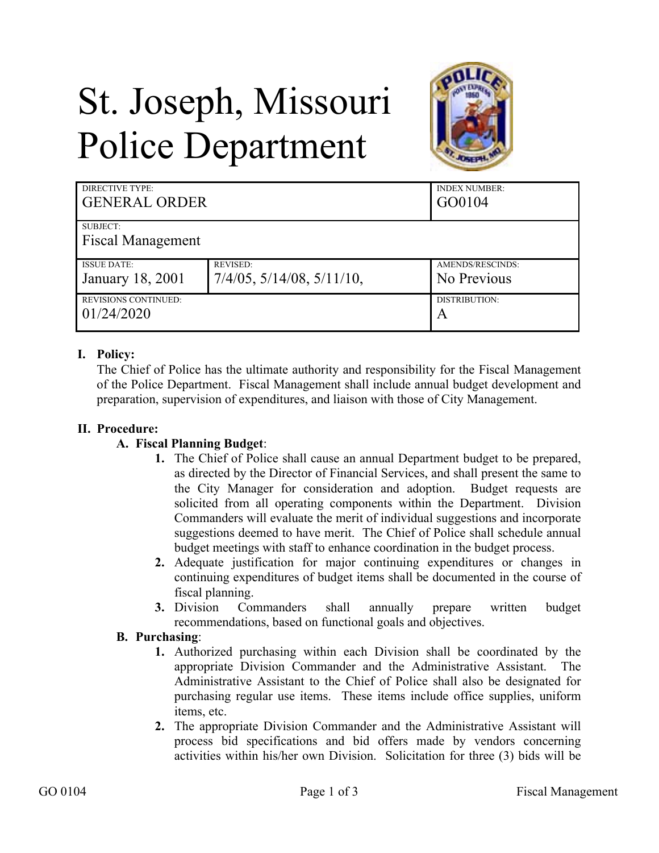# St. Joseph, Missouri Police Department



| DIRECTIVE TYPE:<br><b>GENERAL ORDER</b> |                                    | <b>INDEX NUMBER:</b><br>GO0104 |
|-----------------------------------------|------------------------------------|--------------------------------|
| SUBJECT:                                |                                    |                                |
| <b>Fiscal Management</b>                |                                    |                                |
| <b>ISSUE DATE:</b>                      | <b>REVISED:</b>                    | AMENDS/RESCINDS:               |
| January 18, 2001                        | $7/4/05$ , $5/14/08$ , $5/11/10$ , | No Previous                    |
| <b>REVISIONS CONTINUED:</b>             |                                    | DISTRIBUTION:                  |
| 01/24/2020                              |                                    | A                              |

## **I. Policy:**

The Chief of Police has the ultimate authority and responsibility for the Fiscal Management of the Police Department. Fiscal Management shall include annual budget development and preparation, supervision of expenditures, and liaison with those of City Management.

### **II. Procedure:**

#### **A. Fiscal Planning Budget**:

- **1.** The Chief of Police shall cause an annual Department budget to be prepared, as directed by the Director of Financial Services, and shall present the same to the City Manager for consideration and adoption. Budget requests are solicited from all operating components within the Department. Division Commanders will evaluate the merit of individual suggestions and incorporate suggestions deemed to have merit. The Chief of Police shall schedule annual budget meetings with staff to enhance coordination in the budget process.
- **2.** Adequate justification for major continuing expenditures or changes in continuing expenditures of budget items shall be documented in the course of fiscal planning.
- **3.** Division Commanders shall annually prepare written budget recommendations, based on functional goals and objectives.

## **B. Purchasing**:

- **1.** Authorized purchasing within each Division shall be coordinated by the appropriate Division Commander and the Administrative Assistant. The Administrative Assistant to the Chief of Police shall also be designated for purchasing regular use items. These items include office supplies, uniform items, etc.
- **2.** The appropriate Division Commander and the Administrative Assistant will process bid specifications and bid offers made by vendors concerning activities within his/her own Division. Solicitation for three (3) bids will be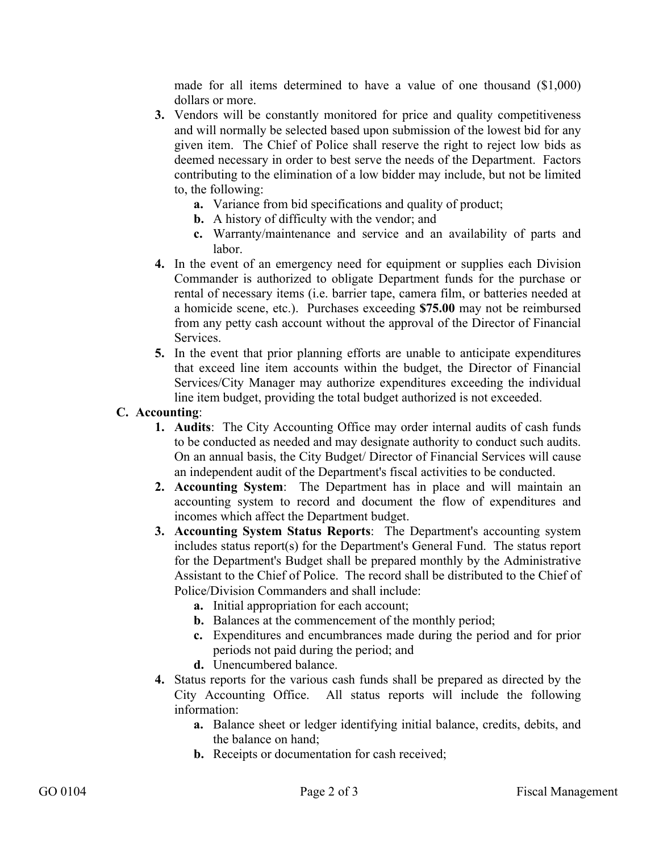made for all items determined to have a value of one thousand (\$1,000) dollars or more.

- **3.** Vendors will be constantly monitored for price and quality competitiveness and will normally be selected based upon submission of the lowest bid for any given item. The Chief of Police shall reserve the right to reject low bids as deemed necessary in order to best serve the needs of the Department. Factors contributing to the elimination of a low bidder may include, but not be limited to, the following:
	- **a.** Variance from bid specifications and quality of product;
	- **b.** A history of difficulty with the vendor; and
	- **c.** Warranty/maintenance and service and an availability of parts and labor.
- **4.** In the event of an emergency need for equipment or supplies each Division Commander is authorized to obligate Department funds for the purchase or rental of necessary items (i.e. barrier tape, camera film, or batteries needed at a homicide scene, etc.). Purchases exceeding **\$75.00** may not be reimbursed from any petty cash account without the approval of the Director of Financial Services.
- **5.** In the event that prior planning efforts are unable to anticipate expenditures that exceed line item accounts within the budget, the Director of Financial Services/City Manager may authorize expenditures exceeding the individual line item budget, providing the total budget authorized is not exceeded.

## **C. Accounting**:

- **1. Audits**: The City Accounting Office may order internal audits of cash funds to be conducted as needed and may designate authority to conduct such audits. On an annual basis, the City Budget/ Director of Financial Services will cause an independent audit of the Department's fiscal activities to be conducted.
- **2. Accounting System**: The Department has in place and will maintain an accounting system to record and document the flow of expenditures and incomes which affect the Department budget.
- **3. Accounting System Status Reports**: The Department's accounting system includes status report(s) for the Department's General Fund. The status report for the Department's Budget shall be prepared monthly by the Administrative Assistant to the Chief of Police. The record shall be distributed to the Chief of Police/Division Commanders and shall include:
	- **a.** Initial appropriation for each account;
	- **b.** Balances at the commencement of the monthly period;
	- **c.** Expenditures and encumbrances made during the period and for prior periods not paid during the period; and
	- **d.** Unencumbered balance.
- **4.** Status reports for the various cash funds shall be prepared as directed by the City Accounting Office. All status reports will include the following information:
	- **a.** Balance sheet or ledger identifying initial balance, credits, debits, and the balance on hand;
	- **b.** Receipts or documentation for cash received;